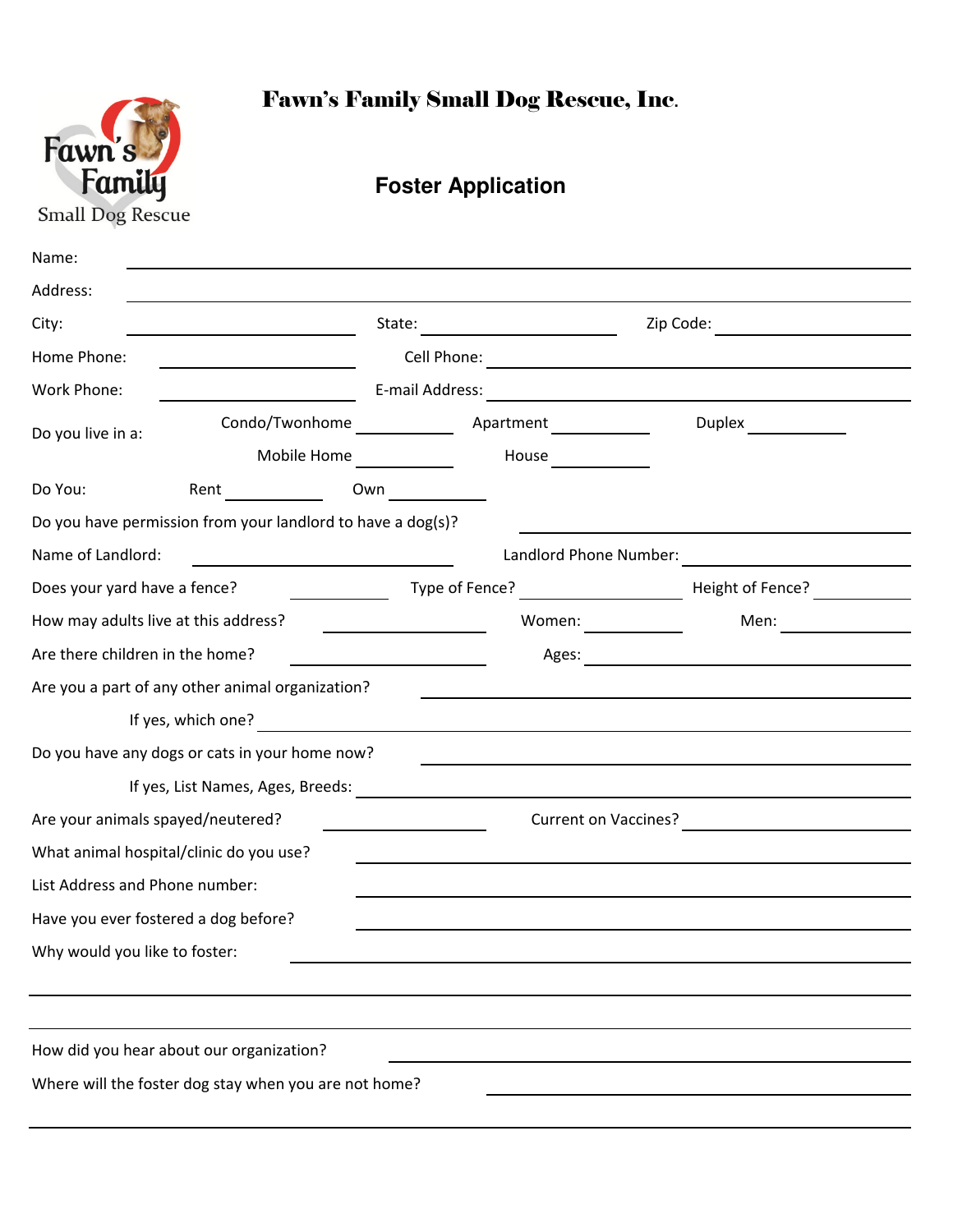

## Fawn's Family Small Dog Rescue, Inc.

## **Foster Application**

| Name:                                          |                                                             |  |                                                                                                                                              |                  |  |  |  |
|------------------------------------------------|-------------------------------------------------------------|--|----------------------------------------------------------------------------------------------------------------------------------------------|------------------|--|--|--|
| Address:                                       |                                                             |  |                                                                                                                                              |                  |  |  |  |
| State:<br>City:                                |                                                             |  | Zip Code:                                                                                                                                    |                  |  |  |  |
| Home Phone:                                    |                                                             |  |                                                                                                                                              |                  |  |  |  |
| Work Phone:                                    |                                                             |  | E-mail Address:                                                                                                                              |                  |  |  |  |
| Do you live in a:                              | Condo/Twonhome                                              |  | Apartment<br><u> 1990 - Jan Barton, p</u>                                                                                                    |                  |  |  |  |
|                                                | Mobile Home                                                 |  | House <u>____</u>                                                                                                                            |                  |  |  |  |
| Do You:                                        | Rent                                                        |  |                                                                                                                                              |                  |  |  |  |
|                                                | Do you have permission from your landlord to have a dog(s)? |  |                                                                                                                                              |                  |  |  |  |
| Name of Landlord:                              |                                                             |  | Landlord Phone Number:                                                                                                                       |                  |  |  |  |
| Does your yard have a fence?                   |                                                             |  | Type of Fence?<br><u> 1989 - Jan Stein Stein Stein Stein Stein Stein Stein Stein Stein Stein Stein Stein Stein Stein Stein Stein S</u>       | Height of Fence? |  |  |  |
|                                                | How may adults live at this address?                        |  | Women: $\frac{1}{\sqrt{1-\frac{1}{2}}\cdot\frac{1}{\sqrt{1-\frac{1}{2}}\cdot\frac{1}{2}}\cdot\frac{1}{\sqrt{1-\frac{1}{2}}\cdot\frac{1}{2}}$ | Men:             |  |  |  |
| Are there children in the home?                |                                                             |  | Ages:                                                                                                                                        |                  |  |  |  |
|                                                | Are you a part of any other animal organization?            |  |                                                                                                                                              |                  |  |  |  |
| If yes, which one?                             |                                                             |  |                                                                                                                                              |                  |  |  |  |
| Do you have any dogs or cats in your home now? |                                                             |  |                                                                                                                                              |                  |  |  |  |
|                                                | If yes, List Names, Ages, Breeds:                           |  | <u> 1989 - Johann Barbara, martxa alemaniar amerikan a</u>                                                                                   |                  |  |  |  |
| Are your animals spayed/neutered?              |                                                             |  | <b>Current on Vaccines?</b>                                                                                                                  |                  |  |  |  |
|                                                | What animal hospital/clinic do you use?                     |  |                                                                                                                                              |                  |  |  |  |
| List Address and Phone number:                 |                                                             |  |                                                                                                                                              |                  |  |  |  |
|                                                | Have you ever fostered a dog before?                        |  |                                                                                                                                              |                  |  |  |  |
| Why would you like to foster:                  |                                                             |  |                                                                                                                                              |                  |  |  |  |
|                                                |                                                             |  |                                                                                                                                              |                  |  |  |  |
|                                                |                                                             |  |                                                                                                                                              |                  |  |  |  |
|                                                | How did you hear about our organization?                    |  |                                                                                                                                              |                  |  |  |  |
|                                                | Where will the foster dog stay when you are not home?       |  |                                                                                                                                              |                  |  |  |  |
|                                                |                                                             |  |                                                                                                                                              |                  |  |  |  |